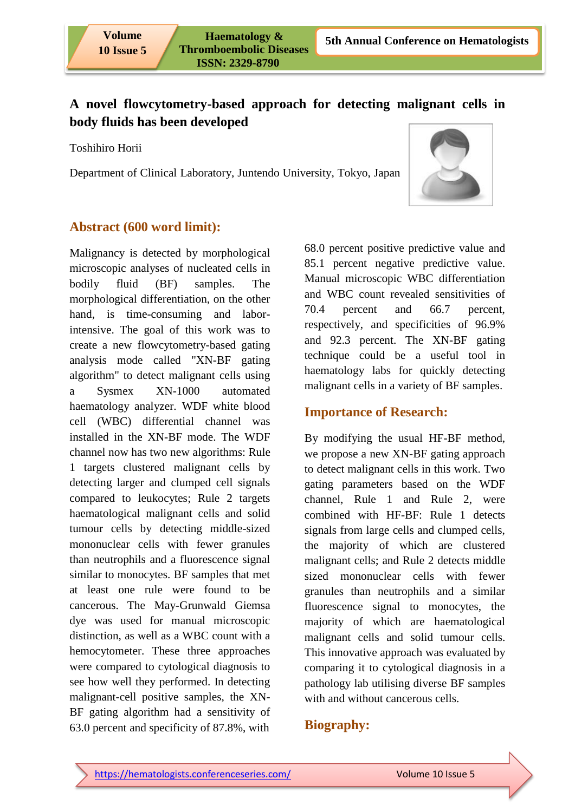# **A novel flowcytometry-based approach for detecting malignant cells in body fluids has been developed**

Toshihiro Horii

Department of Clinical Laboratory, Juntendo University, Tokyo, Japan



### **Abstract (600 word limit):**

Malignancy is detected by morphological microscopic analyses of nucleated cells in bodily fluid (BF) samples. The morphological differentiation, on the other hand, is time-consuming and laborintensive. The goal of this work was to create a new flowcytometry-based gating analysis mode called "XN-BF gating algorithm" to detect malignant cells using a Sysmex XN-1000 automated haematology analyzer. WDF white blood cell (WBC) differential channel was installed in the XN-BF mode. The WDF channel now has two new algorithms: Rule 1 targets clustered malignant cells by detecting larger and clumped cell signals compared to leukocytes; Rule 2 targets haematological malignant cells and solid tumour cells by detecting middle-sized mononuclear cells with fewer granules than neutrophils and a fluorescence signal similar to monocytes. BF samples that met at least one rule were found to be cancerous. The May-Grunwald Giemsa dye was used for manual microscopic distinction, as well as a WBC count with a hemocytometer. These three approaches were compared to cytological diagnosis to see how well they performed. In detecting malignant-cell positive samples, the XN-BF gating algorithm had a sensitivity of 63.0 percent and specificity of 87.8%, with

68.0 percent positive predictive value and 85.1 percent negative predictive value. Manual microscopic WBC differentiation and WBC count revealed sensitivities of 70.4 percent and 66.7 percent, respectively, and specificities of 96.9% and 92.3 percent. The XN-BF gating technique could be a useful tool in haematology labs for quickly detecting malignant cells in a variety of BF samples.

## **Importance of Research:**

By modifying the usual HF-BF method, we propose a new XN-BF gating approach to detect malignant cells in this work. Two gating parameters based on the WDF channel, Rule 1 and Rule 2, were combined with HF-BF: Rule 1 detects signals from large cells and clumped cells, the majority of which are clustered malignant cells; and Rule 2 detects middle sized mononuclear cells with fewer granules than neutrophils and a similar fluorescence signal to monocytes, the majority of which are haematological malignant cells and solid tumour cells. This innovative approach was evaluated by comparing it to cytological diagnosis in a pathology lab utilising diverse BF samples with and without cancerous cells.

# **Biography:**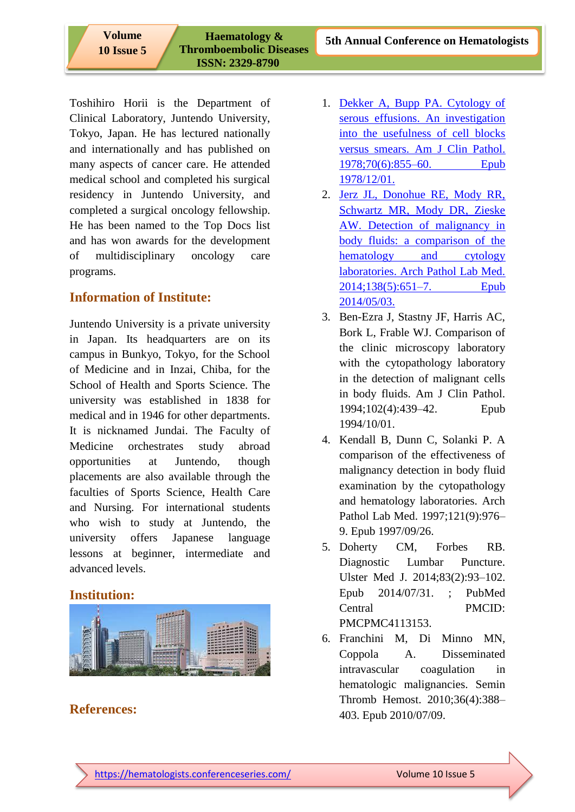**10 Issue 5**

 **Haematology & Thromboembolic Diseases ISSN: 2329-8790** 

Toshihiro Horii is the Department of Clinical Laboratory, Juntendo University, Tokyo, Japan. He has lectured nationally and internationally and has published on many aspects of cancer care. He attended medical school and completed his surgical residency in Juntendo University, and completed a surgical oncology fellowship. He has been named to the Top Docs list and has won awards for the development of multidisciplinary oncology care programs.

## **Information of Institute:**

Juntendo University is a private university in Japan. Its headquarters are on its campus in Bunkyo, Tokyo, for the School of Medicine and in Inzai, Chiba, for the School of Health and Sports Science. The university was established in 1838 for medical and in 1946 for other departments. It is nicknamed Jundai. The Faculty of Medicine orchestrates study abroad opportunities at Juntendo, though placements are also available through the faculties of Sports Science, Health Care and Nursing. For international students who wish to study at Juntendo, the university offers Japanese language lessons at beginner, intermediate and advanced levels.

#### **Institution:**



#### **References:**

- 1. [Dekker A, Bupp PA. Cytology of](https://chronic-obstructive-pulmonary-disease.imedpub.com/archive.php)  [serous effusions. An investigation](https://chronic-obstructive-pulmonary-disease.imedpub.com/archive.php)  [into the usefulness of cell blocks](https://chronic-obstructive-pulmonary-disease.imedpub.com/archive.php)  [versus smears. Am J Clin Pathol.](https://chronic-obstructive-pulmonary-disease.imedpub.com/archive.php)  [1978;70\(6\):855–60. Epub](https://chronic-obstructive-pulmonary-disease.imedpub.com/archive.php)  [1978/12/01.](https://chronic-obstructive-pulmonary-disease.imedpub.com/archive.php)
- 2. [Jerz JL, Donohue RE, Mody RR,](https://chronic-obstructive-pulmonary-disease.imedpub.com/archive.php)  [Schwartz MR, Mody DR, Zieske](https://chronic-obstructive-pulmonary-disease.imedpub.com/archive.php)  [AW. Detection of malignancy in](https://chronic-obstructive-pulmonary-disease.imedpub.com/archive.php)  [body fluids: a comparison of the](https://chronic-obstructive-pulmonary-disease.imedpub.com/archive.php)  [hematology and cytology](https://chronic-obstructive-pulmonary-disease.imedpub.com/archive.php)  [laboratories. Arch Pathol Lab Med.](https://chronic-obstructive-pulmonary-disease.imedpub.com/archive.php)  [2014;138\(5\):651–7. Epub](https://chronic-obstructive-pulmonary-disease.imedpub.com/archive.php)  [2014/05/03.](https://chronic-obstructive-pulmonary-disease.imedpub.com/archive.php)
- 3. Ben-Ezra J, Stastny JF, Harris AC, Bork L, Frable WJ. Comparison of the clinic microscopy laboratory with the cytopathology laboratory in the detection of malignant cells in body fluids. Am J Clin Pathol. 1994;102(4):439–42. Epub 1994/10/01.
- 4. Kendall B, Dunn C, Solanki P. A comparison of the effectiveness of malignancy detection in body fluid examination by the cytopathology and hematology laboratories. Arch Pathol Lab Med. 1997;121(9):976– 9. Epub 1997/09/26.
- 5. Doherty CM, Forbes RB. Diagnostic Lumbar Puncture. Ulster Med J. 2014;83(2):93–102. Epub 2014/07/31. ; PubMed Central PMCID: PMCPMC4113153.
- 6. Franchini M, Di Minno MN, Coppola A. Disseminated intravascular coagulation in hematologic malignancies. Semin Thromb Hemost. 2010;36(4):388– 403. Epub 2010/07/09.